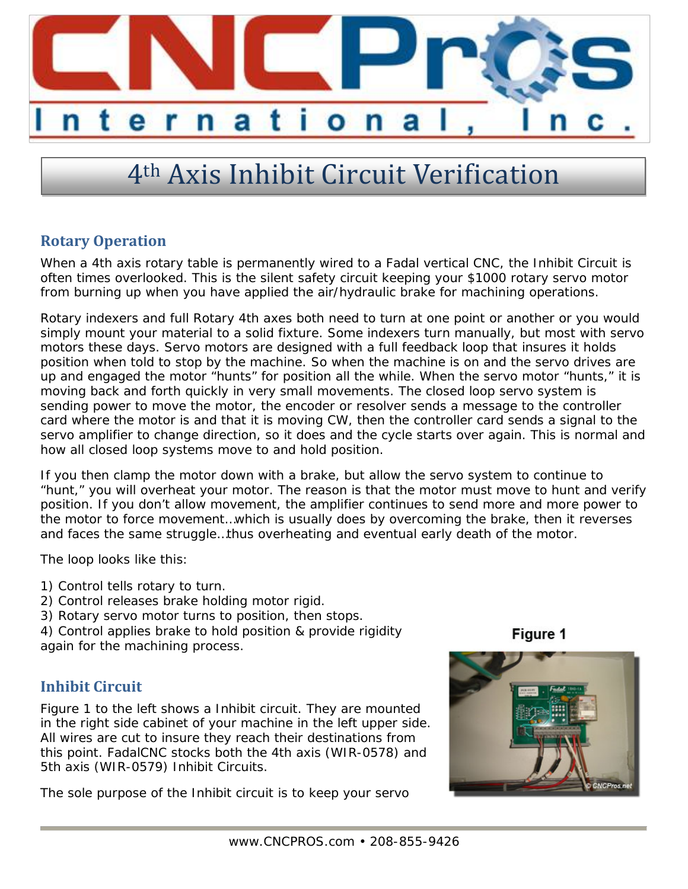

# 4th Axis Inhibit Circuit Verification

#### **Rotary Operation**

When a 4th axis rotary table is permanently wired to a Fadal vertical CNC, the Inhibit Circuit is often times overlooked. This is the silent safety circuit keeping your \$1000 rotary servo motor from burning up when you have applied the air/hydraulic brake for machining operations.

Rotary indexers and full Rotary 4th axes both need to turn at one point or another or you would simply mount your material to a solid fixture. Some indexers turn manually, but most with servo motors these days. Servo motors are designed with a full feedback loop that insures it holds position when told to stop by the machine. So when the machine is on and the servo drives are up and engaged the motor "hunts" for position all the while. When the servo motor "hunts," it is moving back and forth quickly in very small movements. The closed loop servo system is sending power to move the motor, the encoder or resolver sends a message to the controller card where the motor is and that it is moving CW, then the controller card sends a signal to the servo amplifier to change direction, so it does and the cycle starts over again. This is normal and how all closed loop systems move to and hold position.

If you then clamp the motor down with a brake, but allow the servo system to continue to "hunt," you will overheat your motor. The reason is that the motor must move to hunt and verify position. If you don't allow movement, the amplifier continues to send more and more power to the motor to force movement…which is usually does by overcoming the brake, then it reverses and faces the same struggle…thus overheating and eventual early death of the motor.

The loop looks like this:

- 1) Control tells rotary to turn.
- 2) Control releases brake holding motor rigid.
- 3) Rotary servo motor turns to position, then stops.

4) Control applies brake to hold position & provide rigidity again for the machining process.

### **Inhibit Circuit**

Figure 1 to the left shows a Inhibit circuit. They are mounted in the right side cabinet of your machine in the left upper side. All wires are cut to insure they reach their destinations from this point. FadalCNC stocks both the 4th axis (WIR-0578) and 5th axis (WIR-0579) Inhibit Circuits.

The sole purpose of the Inhibit circuit is to keep your servo

Figure 1

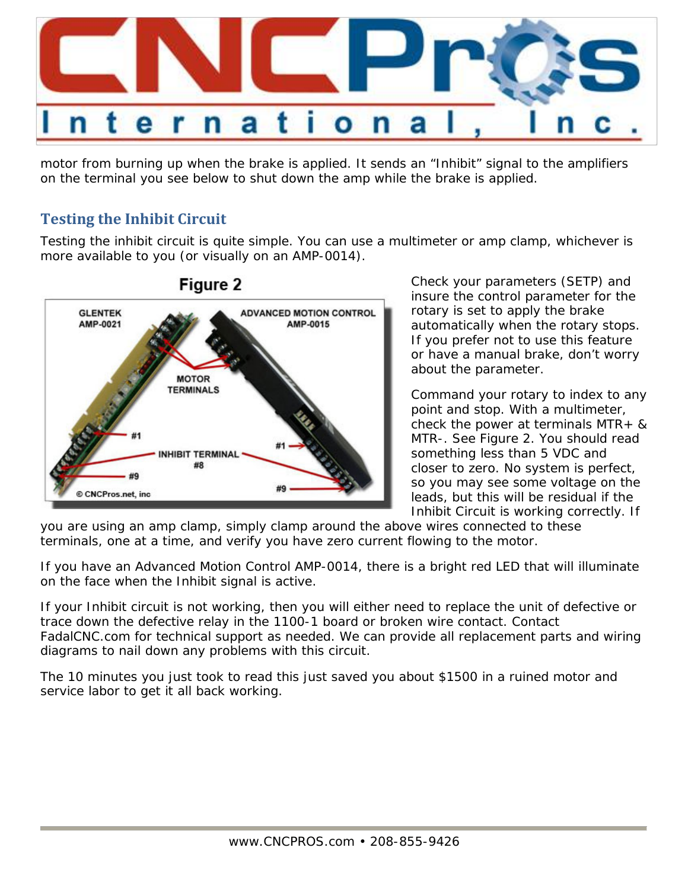

motor from burning up when the brake is applied. It sends an "Inhibit" signal to the amplifiers on the terminal you see below to shut down the amp while the brake is applied.

#### **Testing the Inhibit Circuit**

Testing the inhibit circuit is quite simple. You can use a multimeter or amp clamp, whichever is more available to you (or visually on an AMP-0014).



## Figure 2

Check your parameters (SETP) and insure the control parameter for the rotary is set to apply the brake automatically when the rotary stops. If you prefer not to use this feature or have a manual brake, don't worry about the parameter.

Command your rotary to index to any point and stop. With a multimeter, check the power at terminals MTR+ & MTR-. See Figure 2. You should read something less than 5 VDC and closer to zero. No system is perfect, so you may see some voltage on the leads, but this will be residual if the Inhibit Circuit is working correctly. If

you are using an amp clamp, simply clamp around the above wires connected to these terminals, one at a time, and verify you have zero current flowing to the motor.

If you have an Advanced Motion Control AMP-0014, there is a bright red LED that will illuminate on the face when the Inhibit signal is active.

If your Inhibit circuit is not working, then you will either need to replace the unit of defective or trace down the defective relay in the 1100-1 board or broken wire contact. Contact FadalCNC.com for technical support as needed. We can provide all replacement parts and wiring diagrams to nail down any problems with this circuit.

The 10 minutes you just took to read this just saved you about \$1500 in a ruined motor and service labor to get it all back working.